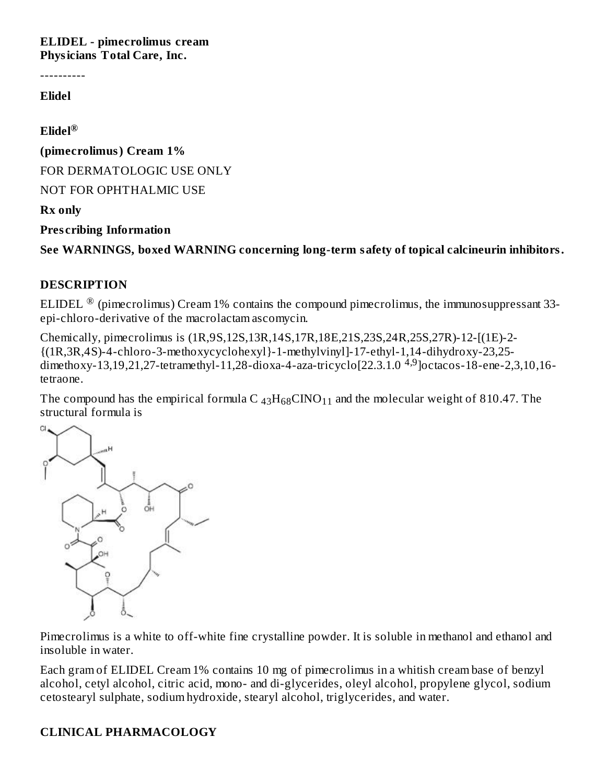**ELIDEL - pimecrolimus cream Physicians Total Care, Inc.**

----------

#### **Elidel**

**Elidel ®**

**(pimecrolimus) Cream 1%**

FOR DERMATOLOGIC USE ONLY

NOT FOR OPHTHALMIC USE

#### **Rx only**

**Pres cribing Information**

**See WARNINGS, boxed WARNING concerning long-term safety of topical calcineurin inhibitors.**

#### **DESCRIPTION**

ELIDEL  $^\circledR$  (pimecrolimus) Cream 1% contains the compound pimecrolimus, the immunosuppressant 33epi-chloro-derivative of the macrolactam ascomycin.

Chemically, pimecrolimus is (1R,9S,12S,13R,14S,17R,18E,21S,23S,24R,25S,27R)-12-[(1E)-2- {(1R,3R,4S)-4-chloro-3-methoxycyclohexyl}-1-methylvinyl]-17-ethyl-1,14-dihydroxy-23,25 dimethoxy-13,19,21,27-tetramethyl-11,28-dioxa-4-aza-tricyclo[22.3.1.0<sup>4,9</sup>]octacos-18-ene-2,3,10,16tetraone.

The compound has the empirical formula C  $_{43}H_{68}CINO_{11}$  and the molecular weight of 810.47. The structural formula is



Pimecrolimus is a white to off-white fine crystalline powder. It is soluble in methanol and ethanol and insoluble in water.

Each gram of ELIDEL Cream 1% contains 10 mg of pimecrolimus in a whitish cream base of benzyl alcohol, cetyl alcohol, citric acid, mono- and di-glycerides, oleyl alcohol, propylene glycol, sodium cetostearyl sulphate, sodium hydroxide, stearyl alcohol, triglycerides, and water.

### **CLINICAL PHARMACOLOGY**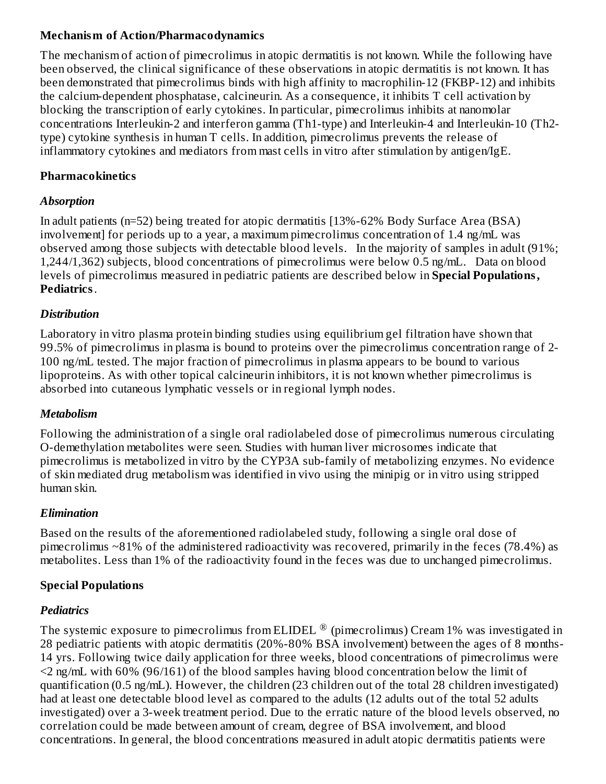### **Mechanism of Action/Pharmacodynamics**

The mechanism of action of pimecrolimus in atopic dermatitis is not known. While the following have been observed, the clinical significance of these observations in atopic dermatitis is not known. It has been demonstrated that pimecrolimus binds with high affinity to macrophilin-12 (FKBP-12) and inhibits the calcium-dependent phosphatase, calcineurin. As a consequence, it inhibits T cell activation by blocking the transcription of early cytokines. In particular, pimecrolimus inhibits at nanomolar concentrations Interleukin-2 and interferon gamma (Th1-type) and Interleukin-4 and Interleukin-10 (Th2 type) cytokine synthesis in human T cells. In addition, pimecrolimus prevents the release of inflammatory cytokines and mediators from mast cells in vitro after stimulation by antigen/IgE.

### **Pharmacokinetics**

### *Absorption*

In adult patients (n=52) being treated for atopic dermatitis [13%-62% Body Surface Area (BSA) involvement] for periods up to a year, a maximum pimecrolimus concentration of 1.4 ng/mL was observed among those subjects with detectable blood levels. In the majority of samples in adult (91%; 1,244/1,362) subjects, blood concentrations of pimecrolimus were below 0.5 ng/mL. Data on blood levels of pimecrolimus measured in pediatric patients are described below in **Special Populations, Pediatrics**.

### *Distribution*

Laboratory in vitro plasma protein binding studies using equilibrium gel filtration have shown that 99.5% of pimecrolimus in plasma is bound to proteins over the pimecrolimus concentration range of 2- 100 ng/mL tested. The major fraction of pimecrolimus in plasma appears to be bound to various lipoproteins. As with other topical calcineurin inhibitors, it is not known whether pimecrolimus is absorbed into cutaneous lymphatic vessels or in regional lymph nodes.

### *Metabolism*

Following the administration of a single oral radiolabeled dose of pimecrolimus numerous circulating O-demethylation metabolites were seen. Studies with human liver microsomes indicate that pimecrolimus is metabolized in vitro by the CYP3A sub-family of metabolizing enzymes. No evidence of skin mediated drug metabolism was identified in vivo using the minipig or in vitro using stripped human skin.

### *Elimination*

Based on the results of the aforementioned radiolabeled study, following a single oral dose of pimecrolimus ~81% of the administered radioactivity was recovered, primarily in the feces (78.4%) as metabolites. Less than 1% of the radioactivity found in the feces was due to unchanged pimecrolimus.

### **Special Populations**

### *Pediatrics*

The systemic exposure to pimecrolimus from ELIDEL  $^\circledR$  (pimecrolimus) Cream 1% was investigated in 28 pediatric patients with atopic dermatitis (20%-80% BSA involvement) between the ages of 8 months-14 yrs. Following twice daily application for three weeks, blood concentrations of pimecrolimus were <2 ng/mL with 60% (96/161) of the blood samples having blood concentration below the limit of quantification (0.5 ng/mL). However, the children (23 children out of the total 28 children investigated) had at least one detectable blood level as compared to the adults (12 adults out of the total 52 adults investigated) over a 3-week treatment period. Due to the erratic nature of the blood levels observed, no correlation could be made between amount of cream, degree of BSA involvement, and blood concentrations. In general, the blood concentrations measured in adult atopic dermatitis patients were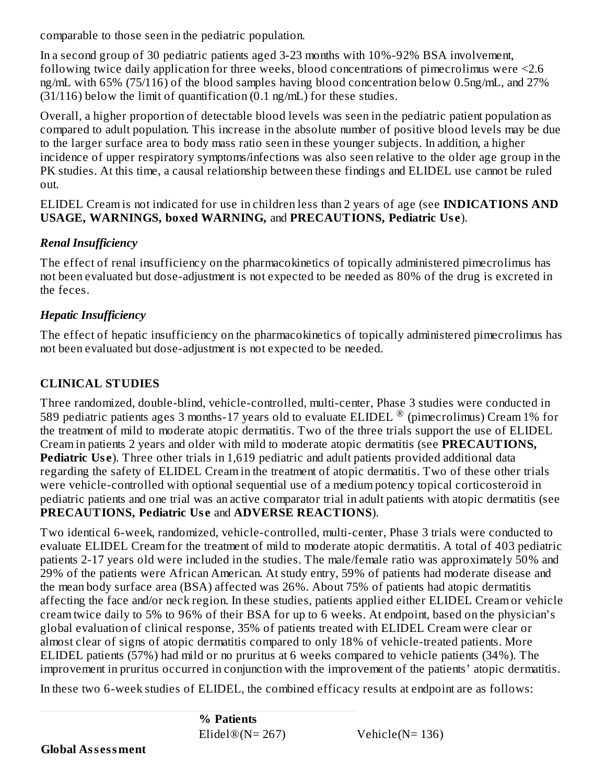comparable to those seen in the pediatric population.

In a second group of 30 pediatric patients aged 3-23 months with 10%-92% BSA involvement, following twice daily application for three weeks, blood concentrations of pimecrolimus were <2.6 ng/mL with 65% (75/116) of the blood samples having blood concentration below 0.5ng/mL, and 27%  $(31/116)$  below the limit of quantification  $(0.1 \text{ ng/mL})$  for these studies.

Overall, a higher proportion of detectable blood levels was seen in the pediatric patient population as compared to adult population. This increase in the absolute number of positive blood levels may be due to the larger surface area to body mass ratio seen in these younger subjects. In addition, a higher incidence of upper respiratory symptoms/infections was also seen relative to the older age group in the PK studies. At this time, a causal relationship between these findings and ELIDEL use cannot be ruled out.

ELIDEL Cream is not indicated for use in children less than 2 years of age (see **INDICATIONS AND USAGE, WARNINGS, boxed WARNING,** and **PRECAUTIONS, Pediatric Us e**).

## *Renal Insufficiency*

The effect of renal insufficiency on the pharmacokinetics of topically administered pimecrolimus has not been evaluated but dose-adjustment is not expected to be needed as 80% of the drug is excreted in the feces.

## *Hepatic Insufficiency*

The effect of hepatic insufficiency on the pharmacokinetics of topically administered pimecrolimus has not been evaluated but dose-adjustment is not expected to be needed.

# **CLINICAL STUDIES**

Three randomized, double-blind, vehicle-controlled, multi-center, Phase 3 studies were conducted in 589 pediatric patients ages 3 months-17 years old to evaluate ELIDEL  $^{\circledR}$  (pimecrolimus) Cream 1% for the treatment of mild to moderate atopic dermatitis. Two of the three trials support the use of ELIDEL Cream in patients 2 years and older with mild to moderate atopic dermatitis (see **PRECAUTIONS, Pediatric Use**). Three other trials in 1,619 pediatric and adult patients provided additional data regarding the safety of ELIDEL Cream in the treatment of atopic dermatitis. Two of these other trials were vehicle-controlled with optional sequential use of a medium potency topical corticosteroid in pediatric patients and one trial was an active comparator trial in adult patients with atopic dermatitis (see **PRECAUTIONS, Pediatric Us e** and **ADVERSE REACTIONS**).

Two identical 6-week, randomized, vehicle-controlled, multi-center, Phase 3 trials were conducted to evaluate ELIDEL Cream for the treatment of mild to moderate atopic dermatitis. A total of 403 pediatric patients 2-17 years old were included in the studies. The male/female ratio was approximately 50% and 29% of the patients were African American. At study entry, 59% of patients had moderate disease and the mean body surface area (BSA) affected was 26%. About 75% of patients had atopic dermatitis affecting the face and/or neck region. In these studies, patients applied either ELIDEL Cream or vehicle cream twice daily to 5% to 96% of their BSA for up to 6 weeks. At endpoint, based on the physician's global evaluation of clinical response, 35% of patients treated with ELIDEL Cream were clear or almost clear of signs of atopic dermatitis compared to only 18% of vehicle-treated patients. More ELIDEL patients (57%) had mild or no pruritus at 6 weeks compared to vehicle patients (34%). The improvement in pruritus occurred in conjunction with the improvement of the patients' atopic dermatitis.

In these two 6-week studies of ELIDEL, the combined efficacy results at endpoint are as follows: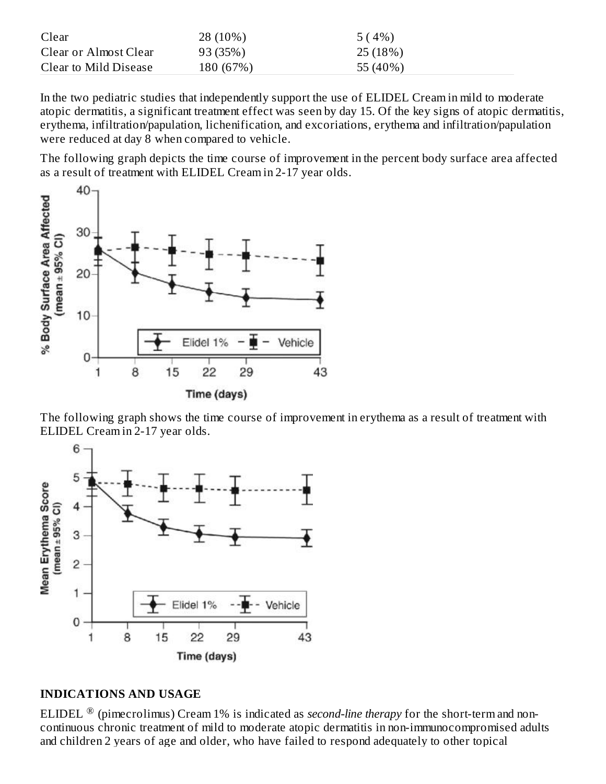| Clear                 | 28 (10%)  | 5(4%)    |
|-----------------------|-----------|----------|
| Clear or Almost Clear | 93 (35%)  | 25(18%)  |
| Clear to Mild Disease | 180 (67%) | 55 (40%) |

In the two pediatric studies that independently support the use of ELIDEL Cream in mild to moderate atopic dermatitis, a significant treatment effect was seen by day 15. Of the key signs of atopic dermatitis, erythema, infiltration/papulation, lichenification, and excoriations, erythema and infiltration/papulation were reduced at day 8 when compared to vehicle.

The following graph depicts the time course of improvement in the percent body surface area affected as a result of treatment with ELIDEL Cream in 2-17 year olds.



The following graph shows the time course of improvement in erythema as a result of treatment with ELIDEL Cream in 2-17 year olds.



#### **INDICATIONS AND USAGE**

ELIDEL ® (pimecrolimus) Cream 1% is indicated as *second-line therapy* for the short-term and noncontinuous chronic treatment of mild to moderate atopic dermatitis in non-immunocompromised adults and children 2 years of age and older, who have failed to respond adequately to other topical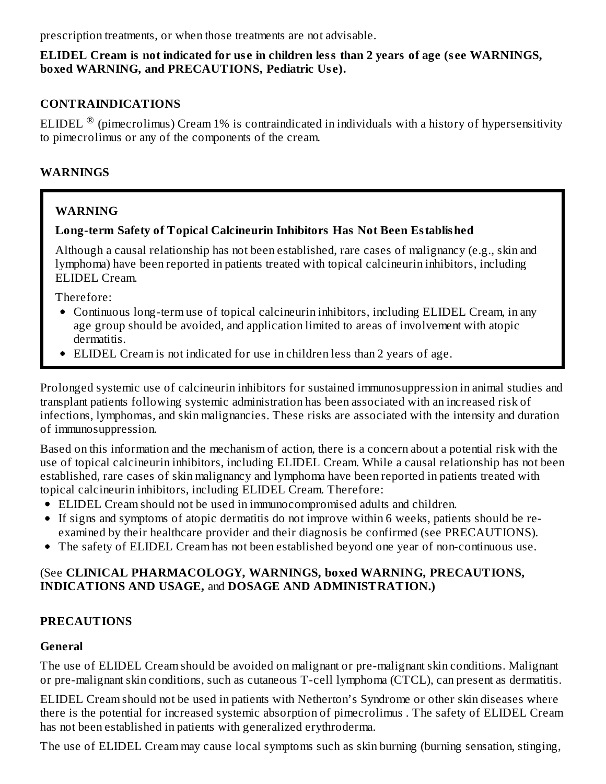prescription treatments, or when those treatments are not advisable.

#### **ELIDEL Cream is not indicated for us e in children less than 2 years of age (s ee WARNINGS, boxed WARNING, and PRECAUTIONS, Pediatric Us e).**

### **CONTRAINDICATIONS**

ELIDEL  $^\circledR$  (pimecrolimus) Cream 1% is contraindicated in individuals with a history of hypersensitivity to pimecrolimus or any of the components of the cream.

### **WARNINGS**

### **WARNING**

### **Long-term Safety of Topical Calcineurin Inhibitors Has Not Been Established**

Although a causal relationship has not been established, rare cases of malignancy (e.g., skin and lymphoma) have been reported in patients treated with topical calcineurin inhibitors, including ELIDEL Cream.

Therefore:

- Continuous long-term use of topical calcineurin inhibitors, including ELIDEL Cream, in any age group should be avoided, and application limited to areas of involvement with atopic dermatitis.
- ELIDEL Cream is not indicated for use in children less than 2 years of age.

Prolonged systemic use of calcineurin inhibitors for sustained immunosuppression in animal studies and transplant patients following systemic administration has been associated with an increased risk of infections, lymphomas, and skin malignancies. These risks are associated with the intensity and duration of immunosuppression.

Based on this information and the mechanism of action, there is a concern about a potential risk with the use of topical calcineurin inhibitors, including ELIDEL Cream. While a causal relationship has not been established, rare cases of skin malignancy and lymphoma have been reported in patients treated with topical calcineurin inhibitors, including ELIDEL Cream. Therefore:

- ELIDEL Cream should not be used in immunocompromised adults and children.
- If signs and symptoms of atopic dermatitis do not improve within 6 weeks, patients should be reexamined by their healthcare provider and their diagnosis be confirmed (see PRECAUTIONS).
- The safety of ELIDEL Cream has not been established beyond one year of non-continuous use.

#### (See **CLINICAL PHARMACOLOGY, WARNINGS, boxed WARNING, PRECAUTIONS, INDICATIONS AND USAGE,** and **DOSAGE AND ADMINISTRATION.)**

#### **PRECAUTIONS**

#### **General**

The use of ELIDEL Cream should be avoided on malignant or pre-malignant skin conditions. Malignant or pre-malignant skin conditions, such as cutaneous T-cell lymphoma (CTCL), can present as dermatitis.

ELIDEL Cream should not be used in patients with Netherton's Syndrome or other skin diseases where there is the potential for increased systemic absorption of pimecrolimus *.* The safety of ELIDEL Cream has not been established in patients with generalized erythroderma.

The use of ELIDEL Cream may cause local symptoms such as skin burning (burning sensation, stinging,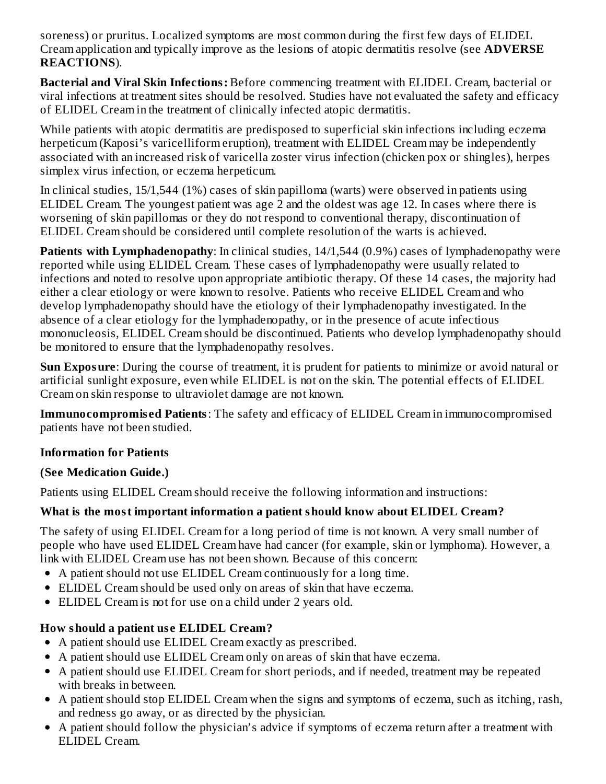soreness) or pruritus. Localized symptoms are most common during the first few days of ELIDEL Cream application and typically improve as the lesions of atopic dermatitis resolve (see **ADVERSE REACTIONS**).

**Bacterial and Viral Skin Infections:** Before commencing treatment with ELIDEL Cream, bacterial or viral infections at treatment sites should be resolved. Studies have not evaluated the safety and efficacy of ELIDEL Cream in the treatment of clinically infected atopic dermatitis.

While patients with atopic dermatitis are predisposed to superficial skin infections including eczema herpeticum (Kaposi's varicelliform eruption), treatment with ELIDEL Cream may be independently associated with an increased risk of varicella zoster virus infection (chicken pox or shingles), herpes simplex virus infection, or eczema herpeticum.

In clinical studies, 15/1,544 (1%) cases of skin papilloma (warts) were observed in patients using ELIDEL Cream. The youngest patient was age 2 and the oldest was age 12. In cases where there is worsening of skin papillomas or they do not respond to conventional therapy, discontinuation of ELIDEL Cream should be considered until complete resolution of the warts is achieved.

**Patients with Lymphadenopathy**: In clinical studies, 14/1,544 (0.9%) cases of lymphadenopathy were reported while using ELIDEL Cream. These cases of lymphadenopathy were usually related to infections and noted to resolve upon appropriate antibiotic therapy. Of these 14 cases, the majority had either a clear etiology or were known to resolve. Patients who receive ELIDEL Cream and who develop lymphadenopathy should have the etiology of their lymphadenopathy investigated. In the absence of a clear etiology for the lymphadenopathy, or in the presence of acute infectious mononucleosis, ELIDEL Cream should be discontinued. Patients who develop lymphadenopathy should be monitored to ensure that the lymphadenopathy resolves.

**Sun Exposure**: During the course of treatment, it is prudent for patients to minimize or avoid natural or artificial sunlight exposure, even while ELIDEL is not on the skin. The potential effects of ELIDEL Cream on skin response to ultraviolet damage are not known.

**Immunocompromis ed Patients**: The safety and efficacy of ELIDEL Cream in immunocompromised patients have not been studied.

### **Information for Patients**

### **(See Medication Guide.)**

Patients using ELIDEL Cream should receive the following information and instructions:

### **What is the most important information a patient should know about ELIDEL Cream?**

The safety of using ELIDEL Cream for a long period of time is not known. A very small number of people who have used ELIDEL Cream have had cancer (for example, skin or lymphoma). However, a link with ELIDEL Cream use has not been shown. Because of this concern:

- A patient should not use ELIDEL Cream continuously for a long time.
- ELIDEL Cream should be used only on areas of skin that have eczema.
- ELIDEL Cream is not for use on a child under 2 years old.

# **How should a patient us e ELIDEL Cream?**

- A patient should use ELIDEL Cream exactly as prescribed.
- A patient should use ELIDEL Cream only on areas of skin that have eczema.
- A patient should use ELIDEL Cream for short periods, and if needed, treatment may be repeated with breaks in between.
- A patient should stop ELIDEL Cream when the signs and symptoms of eczema, such as itching, rash, and redness go away, or as directed by the physician.
- A patient should follow the physician's advice if symptoms of eczema return after a treatment with ELIDEL Cream.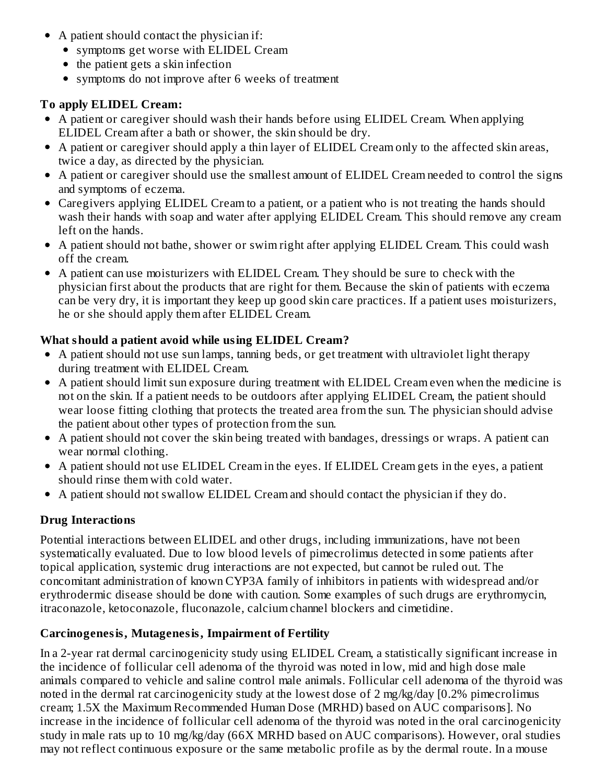- A patient should contact the physician if:
	- symptoms get worse with ELIDEL Cream
	- $\bullet$  the patient gets a skin infection
	- symptoms do not improve after 6 weeks of treatment

### **To apply ELIDEL Cream:**

- A patient or caregiver should wash their hands before using ELIDEL Cream. When applying ELIDEL Cream after a bath or shower, the skin should be dry.
- A patient or caregiver should apply a thin layer of ELIDEL Cream only to the affected skin areas, twice a day, as directed by the physician.
- A patient or caregiver should use the smallest amount of ELIDEL Cream needed to control the signs and symptoms of eczema.
- Caregivers applying ELIDEL Cream to a patient, or a patient who is not treating the hands should wash their hands with soap and water after applying ELIDEL Cream. This should remove any cream left on the hands.
- A patient should not bathe, shower or swim right after applying ELIDEL Cream. This could wash off the cream.
- A patient can use moisturizers with ELIDEL Cream. They should be sure to check with the physician first about the products that are right for them. Because the skin of patients with eczema can be very dry, it is important they keep up good skin care practices. If a patient uses moisturizers, he or she should apply them after ELIDEL Cream.

### **What should a patient avoid while using ELIDEL Cream?**

- A patient should not use sun lamps, tanning beds, or get treatment with ultraviolet light therapy during treatment with ELIDEL Cream.
- A patient should limit sun exposure during treatment with ELIDEL Cream even when the medicine is not on the skin. If a patient needs to be outdoors after applying ELIDEL Cream, the patient should wear loose fitting clothing that protects the treated area from the sun. The physician should advise the patient about other types of protection from the sun.
- A patient should not cover the skin being treated with bandages, dressings or wraps. A patient can wear normal clothing.
- A patient should not use ELIDEL Cream in the eyes. If ELIDEL Cream gets in the eyes, a patient should rinse them with cold water.
- A patient should not swallow ELIDEL Cream and should contact the physician if they do.

### **Drug Interactions**

Potential interactions between ELIDEL and other drugs, including immunizations, have not been systematically evaluated. Due to low blood levels of pimecrolimus detected in some patients after topical application, systemic drug interactions are not expected, but cannot be ruled out. The concomitant administration of known CYP3A family of inhibitors in patients with widespread and/or erythrodermic disease should be done with caution. Some examples of such drugs are erythromycin, itraconazole, ketoconazole, fluconazole, calcium channel blockers and cimetidine.

### **Carcinogenesis, Mutagenesis, Impairment of Fertility**

In a 2-year rat dermal carcinogenicity study using ELIDEL Cream, a statistically significant increase in the incidence of follicular cell adenoma of the thyroid was noted in low, mid and high dose male animals compared to vehicle and saline control male animals. Follicular cell adenoma of the thyroid was noted in the dermal rat carcinogenicity study at the lowest dose of 2 mg/kg/day [0.2% pimecrolimus cream; 1.5X the Maximum Recommended Human Dose (MRHD) based on AUC comparisons]. No increase in the incidence of follicular cell adenoma of the thyroid was noted in the oral carcinogenicity study in male rats up to 10 mg/kg/day (66X MRHD based on AUC comparisons). However, oral studies may not reflect continuous exposure or the same metabolic profile as by the dermal route. In a mouse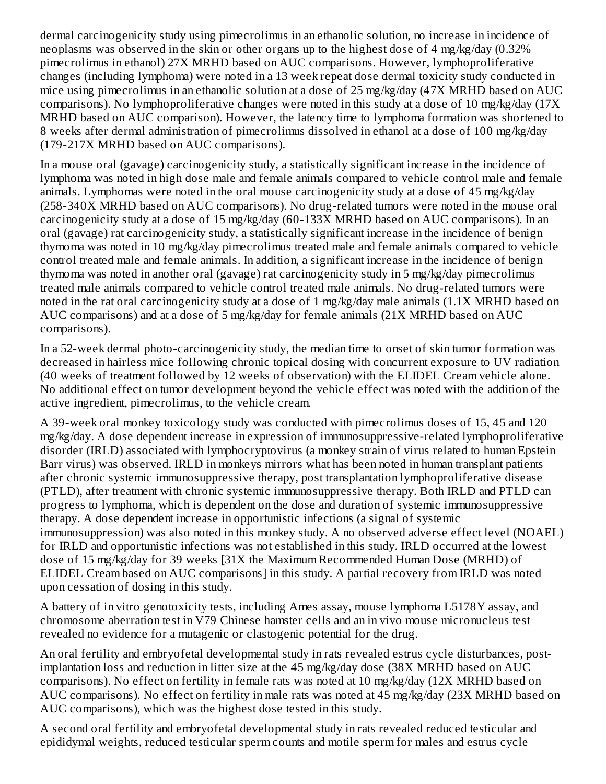dermal carcinogenicity study using pimecrolimus in an ethanolic solution, no increase in incidence of neoplasms was observed in the skin or other organs up to the highest dose of 4 mg/kg/day (0.32% pimecrolimus in ethanol) 27X MRHD based on AUC comparisons. However, lymphoproliferative changes (including lymphoma) were noted in a 13 week repeat dose dermal toxicity study conducted in mice using pimecrolimus in an ethanolic solution at a dose of 25 mg/kg/day (47X MRHD based on AUC comparisons). No lymphoproliferative changes were noted in this study at a dose of 10 mg/kg/day (17X MRHD based on AUC comparison). However, the latency time to lymphoma formation was shortened to 8 weeks after dermal administration of pimecrolimus dissolved in ethanol at a dose of 100 mg/kg/day (179-217X MRHD based on AUC comparisons).

In a mouse oral (gavage) carcinogenicity study, a statistically significant increase in the incidence of lymphoma was noted in high dose male and female animals compared to vehicle control male and female animals. Lymphomas were noted in the oral mouse carcinogenicity study at a dose of 45 mg/kg/day (258-340X MRHD based on AUC comparisons). No drug-related tumors were noted in the mouse oral carcinogenicity study at a dose of 15 mg/kg/day (60-133X MRHD based on AUC comparisons). In an oral (gavage) rat carcinogenicity study, a statistically significant increase in the incidence of benign thymoma was noted in 10 mg/kg/day pimecrolimus treated male and female animals compared to vehicle control treated male and female animals. In addition, a significant increase in the incidence of benign thymoma was noted in another oral (gavage) rat carcinogenicity study in 5 mg/kg/day pimecrolimus treated male animals compared to vehicle control treated male animals. No drug-related tumors were noted in the rat oral carcinogenicity study at a dose of 1 mg/kg/day male animals (1.1X MRHD based on AUC comparisons) and at a dose of 5 mg/kg/day for female animals (21X MRHD based on AUC comparisons).

In a 52-week dermal photo-carcinogenicity study, the median time to onset of skin tumor formation was decreased in hairless mice following chronic topical dosing with concurrent exposure to UV radiation (40 weeks of treatment followed by 12 weeks of observation) with the ELIDEL Cream vehicle alone. No additional effect on tumor development beyond the vehicle effect was noted with the addition of the active ingredient, pimecrolimus, to the vehicle cream.

A 39-week oral monkey toxicology study was conducted with pimecrolimus doses of 15, 45 and 120 mg/kg/day. A dose dependent increase in expression of immunosuppressive-related lymphoproliferative disorder (IRLD) associated with lymphocryptovirus (a monkey strain of virus related to human Epstein Barr virus) was observed. IRLD in monkeys mirrors what has been noted in human transplant patients after chronic systemic immunosuppressive therapy, post transplantation lymphoproliferative disease (PTLD), after treatment with chronic systemic immunosuppressive therapy. Both IRLD and PTLD can progress to lymphoma, which is dependent on the dose and duration of systemic immunosuppressive therapy. A dose dependent increase in opportunistic infections (a signal of systemic immunosuppression) was also noted in this monkey study. A no observed adverse effect level (NOAEL) for IRLD and opportunistic infections was not established in this study. IRLD occurred at the lowest dose of 15 mg/kg/day for 39 weeks [31X the Maximum Recommended Human Dose (MRHD) of ELIDEL Cream based on AUC comparisons] in this study. A partial recovery from IRLD was noted upon cessation of dosing in this study.

A battery of in vitro genotoxicity tests, including Ames assay, mouse lymphoma L5178Y assay, and chromosome aberration test in V79 Chinese hamster cells and an in vivo mouse micronucleus test revealed no evidence for a mutagenic or clastogenic potential for the drug.

An oral fertility and embryofetal developmental study in rats revealed estrus cycle disturbances, postimplantation loss and reduction in litter size at the 45 mg/kg/day dose (38X MRHD based on AUC comparisons). No effect on fertility in female rats was noted at 10 mg/kg/day (12X MRHD based on AUC comparisons). No effect on fertility in male rats was noted at 45 mg/kg/day (23X MRHD based on AUC comparisons), which was the highest dose tested in this study.

A second oral fertility and embryofetal developmental study in rats revealed reduced testicular and epididymal weights, reduced testicular sperm counts and motile sperm for males and estrus cycle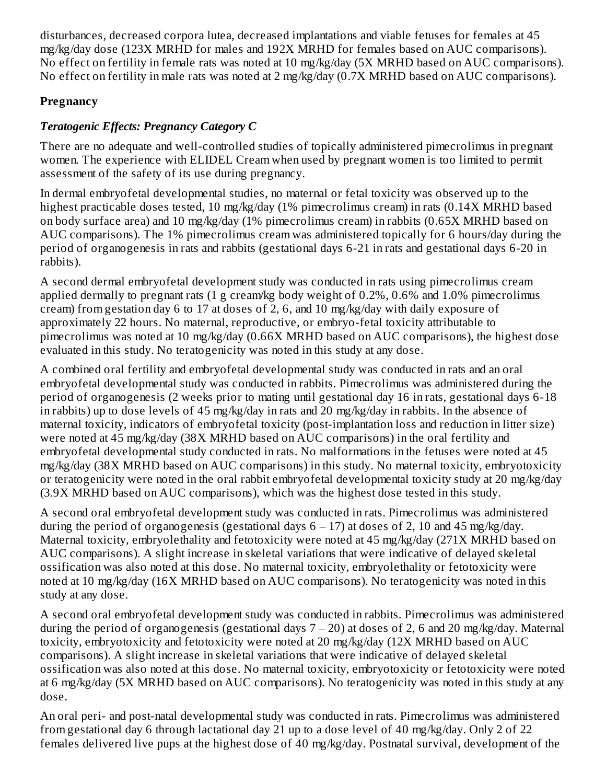disturbances, decreased corpora lutea, decreased implantations and viable fetuses for females at 45 mg/kg/day dose (123X MRHD for males and 192X MRHD for females based on AUC comparisons). No effect on fertility in female rats was noted at 10 mg/kg/day (5X MRHD based on AUC comparisons). No effect on fertility in male rats was noted at 2 mg/kg/day (0.7X MRHD based on AUC comparisons).

### **Pregnancy**

# *Teratogenic Effects: Pregnancy Category C*

There are no adequate and well-controlled studies of topically administered pimecrolimus in pregnant women. The experience with ELIDEL Cream when used by pregnant women is too limited to permit assessment of the safety of its use during pregnancy.

In dermal embryofetal developmental studies, no maternal or fetal toxicity was observed up to the highest practicable doses tested, 10 mg/kg/day (1% pimecrolimus cream) in rats (0.14X MRHD based on body surface area) and 10 mg/kg/day (1% pimecrolimus cream) in rabbits (0.65X MRHD based on AUC comparisons). The 1% pimecrolimus cream was administered topically for 6 hours/day during the period of organogenesis in rats and rabbits (gestational days 6-21 in rats and gestational days 6-20 in rabbits).

A second dermal embryofetal development study was conducted in rats using pimecrolimus cream applied dermally to pregnant rats (1 g cream/kg body weight of 0.2%, 0.6% and 1.0% pimecrolimus cream) from gestation day 6 to 17 at doses of 2, 6, and 10 mg/kg/day with daily exposure of approximately 22 hours. No maternal, reproductive, or embryo-fetal toxicity attributable to pimecrolimus was noted at 10 mg/kg/day (0.66X MRHD based on AUC comparisons), the highest dose evaluated in this study. No teratogenicity was noted in this study at any dose.

A combined oral fertility and embryofetal developmental study was conducted in rats and an oral embryofetal developmental study was conducted in rabbits. Pimecrolimus was administered during the period of organogenesis (2 weeks prior to mating until gestational day 16 in rats, gestational days 6-18 in rabbits) up to dose levels of 45 mg/kg/day in rats and 20 mg/kg/day in rabbits. In the absence of maternal toxicity, indicators of embryofetal toxicity (post-implantation loss and reduction in litter size) were noted at 45 mg/kg/day (38X MRHD based on AUC comparisons) in the oral fertility and embryofetal developmental study conducted in rats. No malformations in the fetuses were noted at 45 mg/kg/day (38X MRHD based on AUC comparisons) in this study. No maternal toxicity, embryotoxicity or teratogenicity were noted in the oral rabbit embryofetal developmental toxicity study at 20 mg/kg/day (3.9X MRHD based on AUC comparisons), which was the highest dose tested in this study.

A second oral embryofetal development study was conducted in rats. Pimecrolimus was administered during the period of organogenesis (gestational days  $6 - 17$ ) at doses of 2, 10 and 45 mg/kg/day. Maternal toxicity, embryolethality and fetotoxicity were noted at 45 mg/kg/day (271X MRHD based on AUC comparisons). A slight increase in skeletal variations that were indicative of delayed skeletal ossification was also noted at this dose. No maternal toxicity, embryolethality or fetotoxicity were noted at 10 mg/kg/day (16X MRHD based on AUC comparisons). No teratogenicity was noted in this study at any dose.

A second oral embryofetal development study was conducted in rabbits. Pimecrolimus was administered during the period of organogenesis (gestational days  $7 - 20$ ) at doses of 2, 6 and 20 mg/kg/day. Maternal toxicity, embryotoxicity and fetotoxicity were noted at 20 mg/kg/day (12X MRHD based on AUC comparisons). A slight increase in skeletal variations that were indicative of delayed skeletal ossification was also noted at this dose. No maternal toxicity, embryotoxicity or fetotoxicity were noted at 6 mg/kg/day (5X MRHD based on AUC comparisons). No teratogenicity was noted in this study at any dose.

An oral peri- and post-natal developmental study was conducted in rats. Pimecrolimus was administered from gestational day 6 through lactational day 21 up to a dose level of 40 mg/kg/day. Only 2 of 22 females delivered live pups at the highest dose of 40 mg/kg/day. Postnatal survival, development of the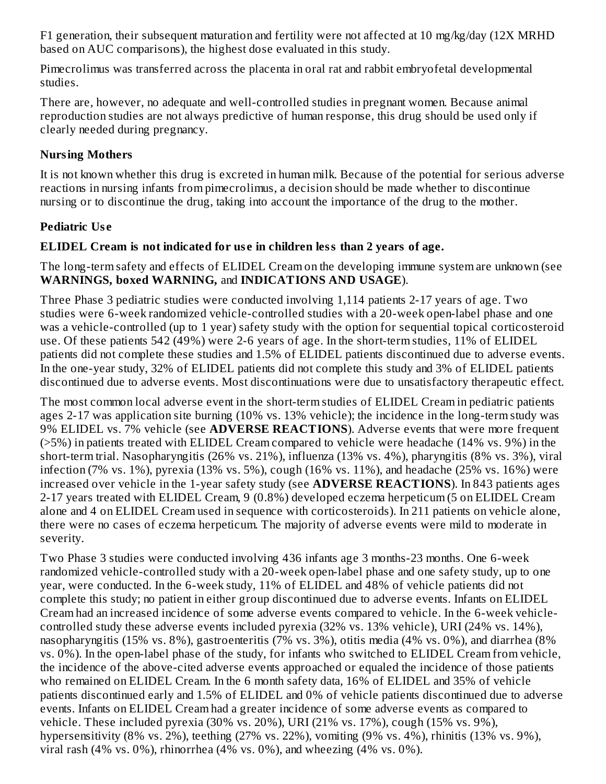F1 generation, their subsequent maturation and fertility were not affected at 10 mg/kg/day (12X MRHD based on AUC comparisons), the highest dose evaluated in this study.

Pimecrolimus was transferred across the placenta in oral rat and rabbit embryofetal developmental studies.

There are, however, no adequate and well-controlled studies in pregnant women. Because animal reproduction studies are not always predictive of human response, this drug should be used only if clearly needed during pregnancy.

### **Nursing Mothers**

It is not known whether this drug is excreted in human milk. Because of the potential for serious adverse reactions in nursing infants from pimecrolimus, a decision should be made whether to discontinue nursing or to discontinue the drug, taking into account the importance of the drug to the mother.

### **Pediatric Us e**

### **ELIDEL Cream is not indicated for us e in children less than 2 years of age.**

The long-term safety and effects of ELIDEL Cream on the developing immune system are unknown (see **WARNINGS, boxed WARNING,** and **INDICATIONS AND USAGE**).

Three Phase 3 pediatric studies were conducted involving 1,114 patients 2-17 years of age. Two studies were 6-week randomized vehicle-controlled studies with a 20-week open-label phase and one was a vehicle-controlled (up to 1 year) safety study with the option for sequential topical corticosteroid use. Of these patients 542 (49%) were 2-6 years of age. In the short-term studies, 11% of ELIDEL patients did not complete these studies and 1.5% of ELIDEL patients discontinued due to adverse events. In the one-year study, 32% of ELIDEL patients did not complete this study and 3% of ELIDEL patients discontinued due to adverse events. Most discontinuations were due to unsatisfactory therapeutic effect.

The most common local adverse event in the short-term studies of ELIDEL Cream in pediatric patients ages 2-17 was application site burning (10% vs. 13% vehicle); the incidence in the long-term study was 9% ELIDEL vs. 7% vehicle (see **ADVERSE REACTIONS**). Adverse events that were more frequent (>5%) in patients treated with ELIDEL Cream compared to vehicle were headache (14% vs. 9%) in the short-term trial. Nasopharyngitis (26% vs. 21%), influenza (13% vs. 4%), pharyngitis (8% vs. 3%), viral infection (7% vs. 1%), pyrexia (13% vs. 5%), cough (16% vs. 11%), and headache (25% vs. 16%) were increased over vehicle in the 1-year safety study (see **ADVERSE REACTIONS**). In 843 patients ages 2-17 years treated with ELIDEL Cream, 9 (0.8%) developed eczema herpeticum (5 on ELIDEL Cream alone and 4 on ELIDEL Cream used in sequence with corticosteroids). In 211 patients on vehicle alone, there were no cases of eczema herpeticum. The majority of adverse events were mild to moderate in severity.

Two Phase 3 studies were conducted involving 436 infants age 3 months-23 months. One 6-week randomized vehicle-controlled study with a 20-week open-label phase and one safety study, up to one year, were conducted. In the 6-week study, 11% of ELIDEL and 48% of vehicle patients did not complete this study; no patient in either group discontinued due to adverse events. Infants on ELIDEL Cream had an increased incidence of some adverse events compared to vehicle. In the 6-week vehiclecontrolled study these adverse events included pyrexia (32% vs. 13% vehicle), URI (24% vs. 14%), nasopharyngitis (15% vs. 8%), gastroenteritis (7% vs. 3%), otitis media (4% vs. 0%), and diarrhea (8% vs. 0%). In the open-label phase of the study, for infants who switched to ELIDEL Cream from vehicle, the incidence of the above-cited adverse events approached or equaled the incidence of those patients who remained on ELIDEL Cream. In the 6 month safety data, 16% of ELIDEL and 35% of vehicle patients discontinued early and 1.5% of ELIDEL and 0% of vehicle patients discontinued due to adverse events. Infants on ELIDEL Cream had a greater incidence of some adverse events as compared to vehicle. These included pyrexia (30% vs. 20%), URI (21% vs. 17%), cough (15% vs. 9%), hypersensitivity (8% vs. 2%), teething (27% vs. 22%), vomiting (9% vs. 4%), rhinitis (13% vs. 9%), viral rash (4% vs. 0%), rhinorrhea (4% vs. 0%), and wheezing (4% vs. 0%).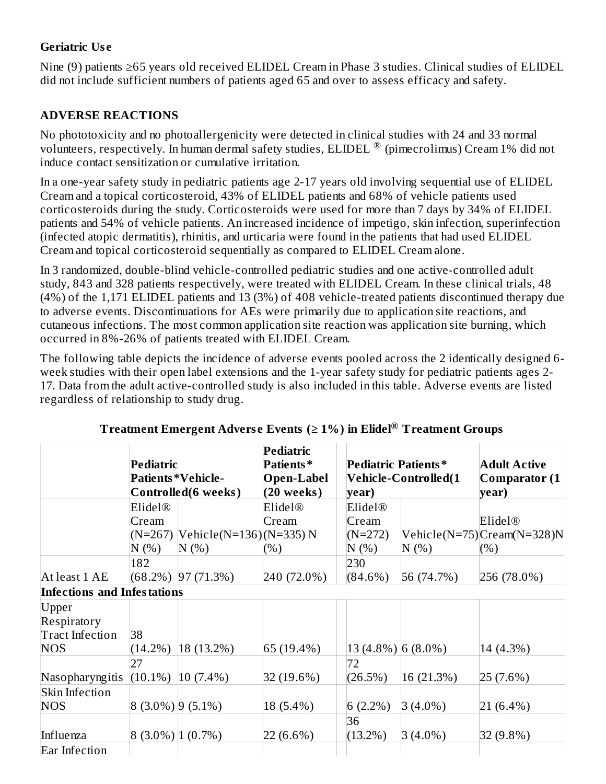### **Geriatric Us e**

Nine (9) patients ≥65 years old received ELIDEL Cream in Phase 3 studies. Clinical studies of ELIDEL did not include sufficient numbers of patients aged 65 and over to assess efficacy and safety.

## **ADVERSE REACTIONS**

No phototoxicity and no photoallergenicity were detected in clinical studies with 24 and 33 normal volunteers, respectively. In human dermal safety studies, ELIDEL ® (pimecrolimus) Cream 1% did not induce contact sensitization or cumulative irritation.

In a one-year safety study in pediatric patients age 2-17 years old involving sequential use of ELIDEL Cream and a topical corticosteroid, 43% of ELIDEL patients and 68% of vehicle patients used corticosteroids during the study. Corticosteroids were used for more than 7 days by 34% of ELIDEL patients and 54% of vehicle patients. An increased incidence of impetigo, skin infection, superinfection (infected atopic dermatitis), rhinitis, and urticaria were found in the patients that had used ELIDEL Cream and topical corticosteroid sequentially as compared to ELIDEL Cream alone.

In 3 randomized, double-blind vehicle-controlled pediatric studies and one active-controlled adult study, 843 and 328 patients respectively, were treated with ELIDEL Cream. In these clinical trials, 48 (4%) of the 1,171 ELIDEL patients and 13 (3%) of 408 vehicle-treated patients discontinued therapy due to adverse events. Discontinuations for AEs were primarily due to application site reactions, and cutaneous infections. The most common application site reaction was application site burning, which occurred in 8%-26% of patients treated with ELIDEL Cream.

The following table depicts the incidence of adverse events pooled across the 2 identically designed 6 week studies with their open label extensions and the 1-year safety study for pediatric patients ages 2- 17. Data from the adult active-controlled study is also included in this table. Adverse events are listed regardless of relationship to study drug.

|                                    | Pediatric            |                                                  | <b>Pediatric</b><br>Patients*     | Pediatric Patients* |                      | <b>Adult Active</b>         |
|------------------------------------|----------------------|--------------------------------------------------|-----------------------------------|---------------------|----------------------|-----------------------------|
|                                    |                      | <b>Patients *Vehicle-</b><br>Controlled(6 weeks) | <b>Open-Label</b><br>$(20$ weeks) | year)               | Vehicle-Controlled(1 | Comparator (1<br>year)      |
|                                    | Elidel®              |                                                  | Elidel <sup>®</sup>               | Elidel®             |                      |                             |
|                                    | Cream                |                                                  | Cream                             | Cream               |                      | Elidel <sup>®</sup>         |
|                                    |                      | (N=267)  Vehicle(N=136) (N=335) N                |                                   | $(N=272)$           |                      | Vehicle(N=75) Cream(N=328)N |
|                                    | N(%)                 | N(%)                                             | (%)                               | N(%)                | N(%                  | (%)                         |
|                                    | 182                  |                                                  |                                   | 230                 |                      |                             |
| At least 1 AE                      |                      | $(68.2\%)$ 97 (71.3%)                            | 240 (72.0%)                       | $(84.6\%)$          | 56 (74.7%)           | 256 (78.0%)                 |
| <b>Infections and Infestations</b> |                      |                                                  |                                   |                     |                      |                             |
| Upper                              |                      |                                                  |                                   |                     |                      |                             |
| Respiratory                        |                      |                                                  |                                   |                     |                      |                             |
| Tract Infection                    | 38                   |                                                  |                                   |                     |                      |                             |
| <b>NOS</b>                         | $(14.2\%)$           | 18 (13.2%)                                       | 65 (19.4%)                        | 13 (4.8%) [6 (8.0%) |                      | 14 (4.3%)                   |
|                                    | 27                   |                                                  |                                   | 72                  |                      |                             |
| Nasopharyngitis                    | $(10.1\%)$           | $10(7.4\%)$                                      | 32 (19.6%)                        | (26.5%)             | 16(21.3%)            | 25(7.6%)                    |
| Skin Infection                     |                      |                                                  |                                   |                     |                      |                             |
| <b>NOS</b>                         | $ 8(3.0\%) 9(5.1\%)$ |                                                  | 18 (5.4%)                         | $6(2.2\%)$          | $ 3(4.0\%)$          | $ 21 (6.4\%)$               |
|                                    |                      |                                                  |                                   | 36                  |                      |                             |
| Influenza                          | $ 8(3.0\%) 1(0.7\%)$ |                                                  | 22 (6.6%)                         | $(13.2\%)$          | $3(4.0\%)$           | 32 (9.8%)                   |
| Ear Infection                      |                      |                                                  |                                   |                     |                      |                             |

#### **Treatment Emergent Advers e Events (≥ 1%) in Elidel Treatment Groups ®**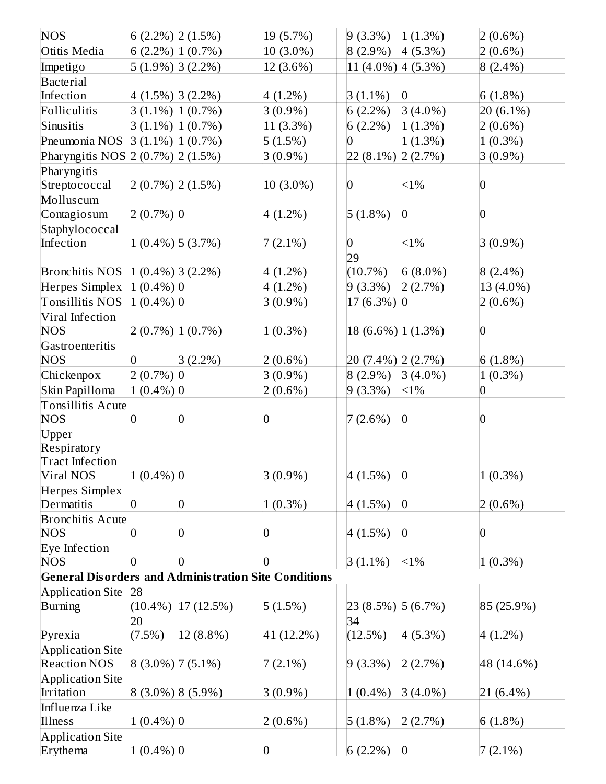| <b>NOS</b>                                                  | 6 $(2.2\%)$ 2 $(1.5\%)$ |                      | 19 (5.7%)        | $9(3.3\%)$                | 1(1.3%)         | $ 2(0.6\%)$     |
|-------------------------------------------------------------|-------------------------|----------------------|------------------|---------------------------|-----------------|-----------------|
| Otitis Media                                                |                         | $6(2.2\%)$ $(0.7\%)$ | 10 (3.0%)        | $8(2.9\%)$                | $4(5.3\%)$      | $2(0.6\%)$      |
| Impetigo                                                    |                         | 5 (1.9%) 3 (2.2%)    | 12 (3.6%)        | $11 (4.0\%)   4 (5.3\%)$  |                 | $8(2.4\%)$      |
| <b>Bacterial</b>                                            |                         |                      |                  |                           |                 |                 |
| Infection                                                   | $4(1.5\%)$ 3(2.2%)      |                      | $4(1.2\%)$       | $3(1.1\%)$                | $ 0\rangle$     | 6(1.8%)         |
| Folliculitis                                                |                         | $3(1.1\%)$ [1 (0.7%) | $3(0.9\%)$       | 6(2.2%)                   | $3(4.0\%)$      | 20 (6.1%)       |
| Sinusitis                                                   |                         | $3(1.1\%)$ $(0.7\%)$ | $11(3.3\%)$      | 6(2.2%)                   | 1(1.3%)         | $2(0.6\%)$      |
| Pneumonia NOS                                               | $3(1.1\%)$ $(0.7\%)$    |                      | 5(1.5%)          | $\overline{0}$            | 1(1.3%)         | $1(0.3\%)$      |
| Pharyngitis NOS 2 (0.7%) 2 (1.5%)                           |                         |                      | $3(0.9\%)$       | 22 (8.1%) 2 (2.7%)        |                 | $3(0.9\%)$      |
| Pharyngitis                                                 |                         |                      |                  |                           |                 |                 |
| Streptococcal                                               | $2(0.7\%)$ $2(1.5\%)$   |                      | $10(3.0\%)$      | $\vert 0 \vert$           | $<1\%$          | $ 0\rangle$     |
| Molluscum                                                   |                         |                      |                  |                           |                 |                 |
| Contagiosum                                                 | $2(0.7\%)$ 0            |                      | $4(1.2\%)$       | $5(1.8\%)$                | $\overline{0}$  | $\vert 0 \vert$ |
| Staphylococcal                                              |                         |                      |                  |                           |                 |                 |
| Infection                                                   |                         | $1(0.4\%)$ [5 (3.7%) | $7(2.1\%)$       | $\overline{0}$            | $<1\%$          | $3(0.9\%)$      |
|                                                             |                         |                      |                  | 29                        |                 |                 |
| <b>Bronchitis NOS</b>                                       | $ 1 (0.4\%) 3 (2.2\%)$  |                      | $4(1.2\%)$       | $(10.7\%)$                | $6(8.0\%)$      | $8(2.4\%)$      |
| Herpes Simplex                                              | $(1(0.4\%) 0$           |                      | $4(1.2\%)$       | 9(3.3%)                   | 2(2.7%)         | 13 (4.0%)       |
| Tonsillitis NOS                                             | $(1 (0.4\%) 0$          |                      | $3(0.9\%)$       | $17(6.3\%)$ 0             |                 | $2(0.6\%)$      |
| Viral Infection                                             |                         |                      |                  |                           |                 |                 |
| <b>NOS</b>                                                  |                         | $2(0.7\%)$ [1 (0.7%) | $1(0.3\%)$       | 18 $(6.6\%)$ [1 $(1.3\%)$ |                 | $ 0\rangle$     |
| Gastroenteritis                                             |                         |                      |                  |                           |                 |                 |
| <b>NOS</b>                                                  | $\overline{0}$          | $3(2.2\%)$           | $2(0.6\%)$       | 20 (7.4%) 2 (2.7%)        |                 | 6(1.8%)         |
| Chickenpox                                                  | $2(0.7\%)$ 0            |                      | $3(0.9\%)$       | $8(2.9\%)$                | $3(4.0\%)$      | $1(0.3\%)$      |
| Skin Papilloma                                              | $1(0.4\%)$ <sup>0</sup> |                      | $2(0.6\%)$       | $9(3.3\%)$                | <1%             | $\bf{0}$        |
| <b>Tonsillitis Acute</b>                                    |                         |                      |                  |                           |                 |                 |
| <b>NOS</b>                                                  | $\overline{0}$          | $\overline{0}$       | $\overline{0}$   | 7(2.6%)                   | $\bf{0}$        | $ 0\rangle$     |
| Upper                                                       |                         |                      |                  |                           |                 |                 |
| Respiratory                                                 |                         |                      |                  |                           |                 |                 |
| <b>Tract Infection</b>                                      |                         |                      |                  |                           |                 |                 |
| Viral NOS                                                   | $1(0.4\%)$ <sup>0</sup> |                      | $3(0.9\%)$       | 4(1.5%)                   | $\vert$ 0       | $1(0.3\%)$      |
| Herpes Simplex                                              |                         |                      |                  |                           |                 |                 |
| Dermatitis                                                  | $ 0\rangle$             | $\boldsymbol{0}$     | $1(0.3\%)$       | 4(1.5%)                   | $\vert 0 \vert$ | $2(0.6\%)$      |
| <b>Bronchitis Acute</b>                                     |                         |                      |                  |                           |                 |                 |
| <b>NOS</b>                                                  | $\boldsymbol{0}$        | 0                    | $\boldsymbol{0}$ | 4(1.5%)                   | $\pmb{0}$       | $\vert 0 \vert$ |
| Eye Infection                                               |                         |                      |                  |                           |                 |                 |
| <b>NOS</b>                                                  | $\overline{0}$          | 0                    | 0                | $3(1.1\%)$                | $<1\%$          | $1(0.3\%)$      |
| <b>General Disorders and Administration Site Conditions</b> |                         |                      |                  |                           |                 |                 |
| <b>Application Site</b>                                     | 28                      |                      |                  |                           |                 |                 |
| Burning                                                     | $(10.4\%)$              | 17(12.5%)            | $ 5(1.5\%)$      | 23 (8.5%) 5 (6.7%)        |                 | $ 85(25.9\%)$   |
|                                                             | 20                      |                      |                  | 34                        |                 |                 |
| Pyrexia                                                     | $(7.5\%)$               | 12 (8.8%)            | 41 (12.2%)       | (12.5%)                   | 4(5.3%)         | $4(1.2\%)$      |
| <b>Application Site</b>                                     |                         |                      |                  |                           |                 |                 |
| <b>Reaction NOS</b>                                         | $ 8(3.0\%) 7(5.1\%)$    |                      | $7(2.1\%)$       | $9(3.3\%)$                | 2(2.7%)         | 48 (14.6%)      |
| <b>Application Site</b>                                     |                         |                      |                  |                           |                 |                 |
| Irritation                                                  |                         | $(3.0\%)$ (5.9%)     | $3(0.9\%)$       | $1(0.4\%)$                | $3(4.0\%)$      | $ 21 (6.4\%)$   |
| Influenza Like                                              |                         |                      |                  |                           |                 |                 |
| Illness                                                     | $1(0.4\%)$ <sup>0</sup> |                      | $2(0.6\%)$       | $5(1.8\%)$                | 2(2.7%)         | $6(1.8\%)$      |
| <b>Application Site</b>                                     |                         |                      |                  |                           |                 |                 |
| Erythema                                                    | $1(0.4\%)$ <sup>0</sup> |                      | 0                | 6(2.2%)                   | $\vert 0 \vert$ | $7(2.1\%)$      |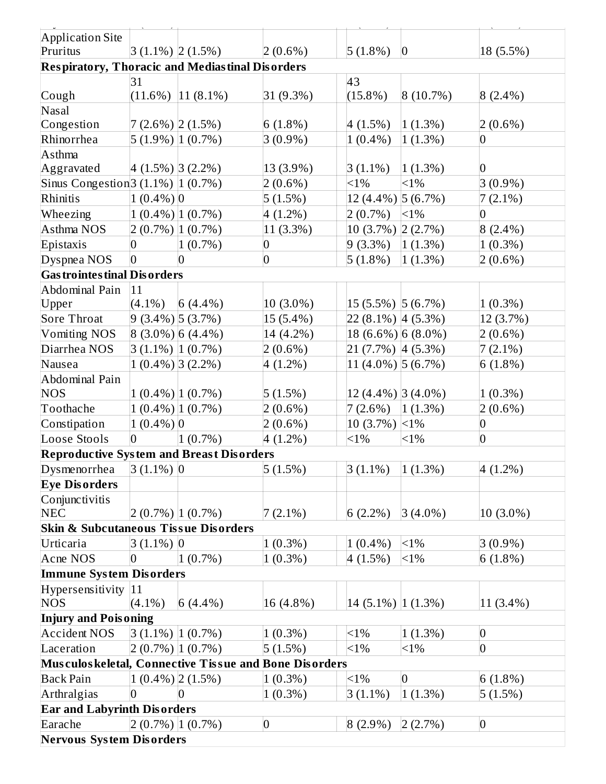| <b>Application Site</b><br>$3(1.1\%)$ $2(1.5\%)$<br>$ 0\rangle$<br>Pruritus<br>$2(0.6\%)$<br>$5(1.8\%)$<br>18 (5.5%)<br><b>Respiratory, Thoracic and Mediastinal Disorders</b><br>31<br>43<br>$(11.6\%)$   11 $(8.1\%)$<br>$(15.8\%)$<br> 8(10.7%)<br>Cough<br>31 (9.3%)<br>$8(2.4\%)$<br>Nasal<br>$7(2.6\%)$ $(1.5\%)$<br>$6(1.8\%)$<br>4(1.5%)<br>Congestion<br>1(1.3%)<br>$ 2(0.6\%)$<br>Rhinorrhea<br>$5(1.9\%)$ $(0.7\%)$<br>$3(0.9\%)$<br>$1(0.4\%)$<br>1(1.3%)<br>0<br>Asthma<br>$ 4(1.5\%) 3(2.2\%)$<br>Aggravated<br>13 (3.9%)<br>$3(1.1\%)$<br>1(1.3%)<br>$\overline{0}$<br>Sinus Congestion 3 $(1.1\%)$ 1 $(0.7\%)$<br>$<1\%$<br>$<1\%$<br>$3(0.9\%)$<br>$2(0.6\%)$<br>Rhinitis<br>$1(0.4\%)$ <sup>0</sup><br>5(1.5%)<br>12 (4.4%) [5 (6.7%)<br>$7(2.1\%)$<br>$1(0.4\%)$ [1(0.7%)<br><1%<br>$4(1.2\%)$<br>$2(0.7\%)$<br>$\overline{0}$<br>Wheezing<br>Asthma NOS<br>$2(0.7\%)$ $(0.7\%)$<br>11 (3.3%)<br>10 (3.7%) 2 (2.7%)<br>$8(2.4\%)$<br>$\overline{0}$<br>$1(0.7\%)$<br>$\overline{0}$<br>$9(3.3\%)$<br>1(1.3%)<br>$1(0.3\%)$<br>Epistaxis |
|------------------------------------------------------------------------------------------------------------------------------------------------------------------------------------------------------------------------------------------------------------------------------------------------------------------------------------------------------------------------------------------------------------------------------------------------------------------------------------------------------------------------------------------------------------------------------------------------------------------------------------------------------------------------------------------------------------------------------------------------------------------------------------------------------------------------------------------------------------------------------------------------------------------------------------------------------------------------------------------------------------------------------------------------------------|
|                                                                                                                                                                                                                                                                                                                                                                                                                                                                                                                                                                                                                                                                                                                                                                                                                                                                                                                                                                                                                                                            |
|                                                                                                                                                                                                                                                                                                                                                                                                                                                                                                                                                                                                                                                                                                                                                                                                                                                                                                                                                                                                                                                            |
|                                                                                                                                                                                                                                                                                                                                                                                                                                                                                                                                                                                                                                                                                                                                                                                                                                                                                                                                                                                                                                                            |
|                                                                                                                                                                                                                                                                                                                                                                                                                                                                                                                                                                                                                                                                                                                                                                                                                                                                                                                                                                                                                                                            |
|                                                                                                                                                                                                                                                                                                                                                                                                                                                                                                                                                                                                                                                                                                                                                                                                                                                                                                                                                                                                                                                            |
|                                                                                                                                                                                                                                                                                                                                                                                                                                                                                                                                                                                                                                                                                                                                                                                                                                                                                                                                                                                                                                                            |
|                                                                                                                                                                                                                                                                                                                                                                                                                                                                                                                                                                                                                                                                                                                                                                                                                                                                                                                                                                                                                                                            |
|                                                                                                                                                                                                                                                                                                                                                                                                                                                                                                                                                                                                                                                                                                                                                                                                                                                                                                                                                                                                                                                            |
|                                                                                                                                                                                                                                                                                                                                                                                                                                                                                                                                                                                                                                                                                                                                                                                                                                                                                                                                                                                                                                                            |
|                                                                                                                                                                                                                                                                                                                                                                                                                                                                                                                                                                                                                                                                                                                                                                                                                                                                                                                                                                                                                                                            |
|                                                                                                                                                                                                                                                                                                                                                                                                                                                                                                                                                                                                                                                                                                                                                                                                                                                                                                                                                                                                                                                            |
|                                                                                                                                                                                                                                                                                                                                                                                                                                                                                                                                                                                                                                                                                                                                                                                                                                                                                                                                                                                                                                                            |
|                                                                                                                                                                                                                                                                                                                                                                                                                                                                                                                                                                                                                                                                                                                                                                                                                                                                                                                                                                                                                                                            |
|                                                                                                                                                                                                                                                                                                                                                                                                                                                                                                                                                                                                                                                                                                                                                                                                                                                                                                                                                                                                                                                            |
|                                                                                                                                                                                                                                                                                                                                                                                                                                                                                                                                                                                                                                                                                                                                                                                                                                                                                                                                                                                                                                                            |
| $\overline{0}$<br>$5(1.8\%)$<br>Dyspnea NOS<br>$\overline{0}$<br>$1(1.3\%)$<br>$2(0.6\%)$<br>$\overline{0}$                                                                                                                                                                                                                                                                                                                                                                                                                                                                                                                                                                                                                                                                                                                                                                                                                                                                                                                                                |
| <b>Gas trointes tinal Dis orders</b>                                                                                                                                                                                                                                                                                                                                                                                                                                                                                                                                                                                                                                                                                                                                                                                                                                                                                                                                                                                                                       |
| Abdominal Pain<br>11                                                                                                                                                                                                                                                                                                                                                                                                                                                                                                                                                                                                                                                                                                                                                                                                                                                                                                                                                                                                                                       |
| Upper<br>$(4.1\%)$<br>$6(4.4\%)$<br>10 (3.0%)<br>$ 15(5.5\%) 5(6.7\%)$<br>$(1(0.3\%)$                                                                                                                                                                                                                                                                                                                                                                                                                                                                                                                                                                                                                                                                                                                                                                                                                                                                                                                                                                      |
| $9(3.4\%)$ [5 (3.7%)<br>15 (5.4%)<br>$22(8.1\%)$ 4 (5.3%)<br>Sore Throat<br>12 (3.7%)                                                                                                                                                                                                                                                                                                                                                                                                                                                                                                                                                                                                                                                                                                                                                                                                                                                                                                                                                                      |
| $\left  8 \right  (3.0\%) \left  6 \right  (4.4\%)$<br>$18(6.6\%)$ 6 (8.0%)<br><b>Vomiting NOS</b><br>14 (4.2%)<br>$2(0.6\%)$<br>Diarrhea NOS                                                                                                                                                                                                                                                                                                                                                                                                                                                                                                                                                                                                                                                                                                                                                                                                                                                                                                              |
| $3(1.1\%)$ $(0.7\%)$<br>$2(0.6\%)$<br>21 (7.7%)  4 (5.3%)<br>$7(2.1\%)$                                                                                                                                                                                                                                                                                                                                                                                                                                                                                                                                                                                                                                                                                                                                                                                                                                                                                                                                                                                    |
| Nausea<br>$1(0.4\%)$ 3(2.2%)<br>11 (4.0%) $\vert 5(6.7\%) \vert$<br>$4(1.2\%)$<br>$6(1.8\%)$                                                                                                                                                                                                                                                                                                                                                                                                                                                                                                                                                                                                                                                                                                                                                                                                                                                                                                                                                               |
| Abdominal Pain<br>$1(0.4\%)$ [1(0.7%)<br>5(1.5%)<br>12 (4.4%) 3 (4.0%)<br><b>NOS</b><br>$1(0.3\%)$                                                                                                                                                                                                                                                                                                                                                                                                                                                                                                                                                                                                                                                                                                                                                                                                                                                                                                                                                         |
| $1(0.4\%)$ $(0.7\%)$<br>Toothache<br>$2(0.6\%)$<br>$2(0.6\%)$<br>7(2.6%)<br>1(1.3%)                                                                                                                                                                                                                                                                                                                                                                                                                                                                                                                                                                                                                                                                                                                                                                                                                                                                                                                                                                        |
| Constipation<br>$1(0.4\%)$ <sup>0</sup><br>$2(0.6\%)$<br>$\overline{0}$<br>10 $(3.7\%)$ < 1%                                                                                                                                                                                                                                                                                                                                                                                                                                                                                                                                                                                                                                                                                                                                                                                                                                                                                                                                                               |
| $\overline{0}$<br>Loose Stools<br>$1(0.7\%)$<br>$4(1.2\%)$<br>$< 1\%$<br>$<1\%$<br>$\overline{0}$                                                                                                                                                                                                                                                                                                                                                                                                                                                                                                                                                                                                                                                                                                                                                                                                                                                                                                                                                          |
| <b>Reproductive System and Breast Disorders</b>                                                                                                                                                                                                                                                                                                                                                                                                                                                                                                                                                                                                                                                                                                                                                                                                                                                                                                                                                                                                            |
| $ 3 (1.1\%) 0$<br>Dysmenorrhea<br>5(1.5%)<br>$3(1.1\%)$<br>$(1.3\%)$<br>$4(1.2\%)$                                                                                                                                                                                                                                                                                                                                                                                                                                                                                                                                                                                                                                                                                                                                                                                                                                                                                                                                                                         |
| <b>Eye Disorders</b>                                                                                                                                                                                                                                                                                                                                                                                                                                                                                                                                                                                                                                                                                                                                                                                                                                                                                                                                                                                                                                       |
| Conjunctivitis                                                                                                                                                                                                                                                                                                                                                                                                                                                                                                                                                                                                                                                                                                                                                                                                                                                                                                                                                                                                                                             |
| <b>NEC</b><br>$2(0.7\%)$ $(1(0.7\%)$<br>$7(2.1\%)$<br>$ 10(3.0\%)$<br>$6(2.2\%)$<br>$3(4.0\%)$                                                                                                                                                                                                                                                                                                                                                                                                                                                                                                                                                                                                                                                                                                                                                                                                                                                                                                                                                             |
| <b>Skin &amp; Subcutaneous Tissue Disorders</b>                                                                                                                                                                                                                                                                                                                                                                                                                                                                                                                                                                                                                                                                                                                                                                                                                                                                                                                                                                                                            |
| $3(1.1\%)$ 0<br>$1(0.3\%)$<br>$1(0.4\%)$<br>$<1\%$<br>$3(0.9\%)$<br>Urticaria                                                                                                                                                                                                                                                                                                                                                                                                                                                                                                                                                                                                                                                                                                                                                                                                                                                                                                                                                                              |
| $\overline{0}$<br>$1(0.7\%)$<br><b>Acne NOS</b><br>$1(0.3\%)$<br>4(1.5%)<br>$<1\%$<br>$6(1.8\%)$                                                                                                                                                                                                                                                                                                                                                                                                                                                                                                                                                                                                                                                                                                                                                                                                                                                                                                                                                           |
| <b>Immune System Disorders</b>                                                                                                                                                                                                                                                                                                                                                                                                                                                                                                                                                                                                                                                                                                                                                                                                                                                                                                                                                                                                                             |
| Hypersensitivity 11                                                                                                                                                                                                                                                                                                                                                                                                                                                                                                                                                                                                                                                                                                                                                                                                                                                                                                                                                                                                                                        |
| <b>NOS</b><br>$(4.1\%)$<br>16 (4.8%)<br>$14(5.1\%)$ $(1.3\%)$<br>$ 11 (3.4\%)$<br>$6(4.4\%)$                                                                                                                                                                                                                                                                                                                                                                                                                                                                                                                                                                                                                                                                                                                                                                                                                                                                                                                                                               |
| <b>Injury and Poisoning</b>                                                                                                                                                                                                                                                                                                                                                                                                                                                                                                                                                                                                                                                                                                                                                                                                                                                                                                                                                                                                                                |
| $3(1.1\%)$ $(0.7\%)$<br><b>Accident NOS</b><br>$<1\%$<br>$\overline{0}$<br>$1(0.3\%)$<br>1(1.3%)                                                                                                                                                                                                                                                                                                                                                                                                                                                                                                                                                                                                                                                                                                                                                                                                                                                                                                                                                           |
| $2(0.7\%)$ $(1(0.7\%)$<br>$<1\%$<br>$<1\%$<br>5(1.5%)<br>$\overline{0}$<br>Laceration                                                                                                                                                                                                                                                                                                                                                                                                                                                                                                                                                                                                                                                                                                                                                                                                                                                                                                                                                                      |
| Musculoskeletal, Connective Tissue and Bone Disorders                                                                                                                                                                                                                                                                                                                                                                                                                                                                                                                                                                                                                                                                                                                                                                                                                                                                                                                                                                                                      |
| $1(0.4\%)$ 2(1.5%)<br><b>Back Pain</b><br>$<1\%$<br>$\vert 0 \vert$<br>$1(0.3\%)$<br>6(1.8%)                                                                                                                                                                                                                                                                                                                                                                                                                                                                                                                                                                                                                                                                                                                                                                                                                                                                                                                                                               |
| $\overline{0}$<br>$1(1.3\%)$<br>Arthralgias<br>$1(0.3\%)$<br>$3(1.1\%)$<br>5(1.5%)<br>$\overline{0}$                                                                                                                                                                                                                                                                                                                                                                                                                                                                                                                                                                                                                                                                                                                                                                                                                                                                                                                                                       |
| <b>Ear and Labyrinth Disorders</b>                                                                                                                                                                                                                                                                                                                                                                                                                                                                                                                                                                                                                                                                                                                                                                                                                                                                                                                                                                                                                         |
| $2(0.7\%)$ $(0.7\%)$<br>$\overline{0}$<br>Earache<br>$8(2.9\%)$<br>2(2.7%)<br>$\overline{0}$                                                                                                                                                                                                                                                                                                                                                                                                                                                                                                                                                                                                                                                                                                                                                                                                                                                                                                                                                               |
| <b>Nervous System Disorders</b>                                                                                                                                                                                                                                                                                                                                                                                                                                                                                                                                                                                                                                                                                                                                                                                                                                                                                                                                                                                                                            |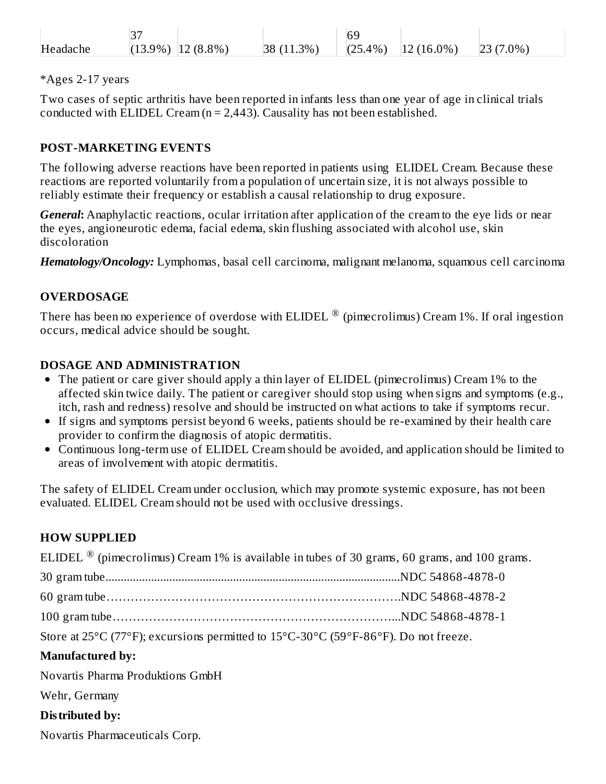|          | ، ب    |                 |              | 6 <sup>c</sup> |                  |         |
|----------|--------|-----------------|--------------|----------------|------------------|---------|
| Headache | (13.9% | $(8.8\%)$<br>-- | $3\%$<br> 38 | $.4\%$<br>(25) | $(16.0\%)$<br>12 | $7.0\%$ |

#### \*Ages 2-17 years

Two cases of septic arthritis have been reported in infants less than one year of age in clinical trials conducted with ELIDEL Cream  $(n = 2,443)$ . Causality has not been established.

#### **POST-MARKETING EVENTS**

The following adverse reactions have been reported in patients using ELIDEL Cream. Because these reactions are reported voluntarily from a population of uncertain size, it is not always possible to reliably estimate their frequency or establish a causal relationship to drug exposure.

*General***:** Anaphylactic reactions, ocular irritation after application of the cream to the eye lids or near the eyes, angioneurotic edema, facial edema, skin flushing associated with alcohol use, skin discoloration

*Hematology/Oncology:* Lymphomas, basal cell carcinoma, malignant melanoma, squamous cell carcinoma

#### **OVERDOSAGE**

There has been no experience of overdose with ELIDEL  $^\circledR$  (pimecrolimus) Cream 1%. If oral ingestion occurs, medical advice should be sought.

#### **DOSAGE AND ADMINISTRATION**

- The patient or care giver should apply a thin layer of ELIDEL (pimecrolimus) Cream 1% to the affected skin twice daily. The patient or caregiver should stop using when signs and symptoms (e.g., itch, rash and redness) resolve and should be instructed on what actions to take if symptoms recur.
- If signs and symptoms persist beyond 6 weeks, patients should be re-examined by their health care provider to confirm the diagnosis of atopic dermatitis.
- Continuous long-term use of ELIDEL Cream should be avoided, and application should be limited to areas of involvement with atopic dermatitis.

The safety of ELIDEL Cream under occlusion, which may promote systemic exposure, has not been evaluated. ELIDEL Cream should not be used with occlusive dressings.

#### **HOW SUPPLIED**

| ELIDEL $\mathcal{D}$ (pimecrolimus) Cream 1% is available in tubes of 30 grams, 60 grams, and 100 grams. |  |
|----------------------------------------------------------------------------------------------------------|--|
|                                                                                                          |  |
|                                                                                                          |  |
|                                                                                                          |  |
| Store at 25°C (77°F); excursions permitted to 15°C-30°C (59°F-86°F). Do not freeze.                      |  |
| <b>Manufactured by:</b>                                                                                  |  |
| Novartis Pharma Produktions GmbH                                                                         |  |
| Wehr, Germany                                                                                            |  |
| Distributed by:                                                                                          |  |
|                                                                                                          |  |

Novartis Pharmaceuticals Corp.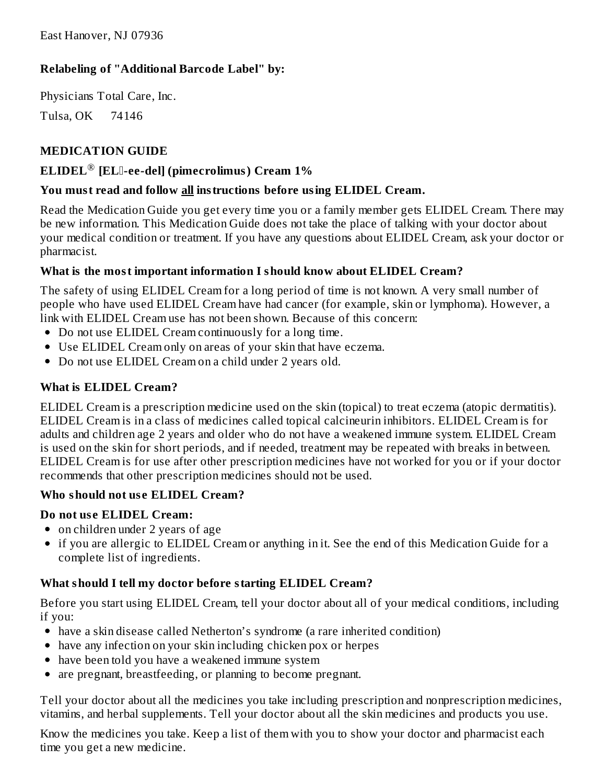### **Relabeling of "Additional Barcode Label" by:**

Physicians Total Care, Inc.

Tulsa, OK 74146

### **MEDICATION GUIDE**

### **ELIDEL [EL-ee-del] (pimecrolimus) Cream 1%** ®

#### **You must read and follow all instructions before using ELIDEL Cream.**

Read the Medication Guide you get every time you or a family member gets ELIDEL Cream. There may be new information. This Medication Guide does not take the place of talking with your doctor about your medical condition or treatment. If you have any questions about ELIDEL Cream, ask your doctor or pharmacist.

#### **What is the most important information I should know about ELIDEL Cream?**

The safety of using ELIDEL Cream for a long period of time is not known. A very small number of people who have used ELIDEL Cream have had cancer (for example, skin or lymphoma). However, a link with ELIDEL Cream use has not been shown. Because of this concern:

- Do not use ELIDEL Cream continuously for a long time.
- Use ELIDEL Cream only on areas of your skin that have eczema.
- Do not use ELIDEL Cream on a child under 2 years old.

### **What is ELIDEL Cream?**

ELIDEL Cream is a prescription medicine used on the skin (topical) to treat eczema (atopic dermatitis). ELIDEL Cream is in a class of medicines called topical calcineurin inhibitors. ELIDEL Cream is for adults and children age 2 years and older who do not have a weakened immune system. ELIDEL Cream is used on the skin for short periods, and if needed, treatment may be repeated with breaks in between. ELIDEL Cream is for use after other prescription medicines have not worked for you or if your doctor recommends that other prescription medicines should not be used.

#### **Who should not us e ELIDEL Cream?**

#### **Do not us e ELIDEL Cream:**

- on children under 2 years of age
- if you are allergic to ELIDEL Cream or anything in it. See the end of this Medication Guide for a complete list of ingredients.

#### **What should I tell my doctor before starting ELIDEL Cream?**

Before you start using ELIDEL Cream, tell your doctor about all of your medical conditions, including if you:

- have a skin disease called Netherton's syndrome (a rare inherited condition)
- have any infection on your skin including chicken pox or herpes
- have been told you have a weakened immune system
- are pregnant, breastfeeding, or planning to become pregnant.  $\bullet$

Tell your doctor about all the medicines you take including prescription and nonprescription medicines, vitamins, and herbal supplements. Tell your doctor about all the skin medicines and products you use.

Know the medicines you take. Keep a list of them with you to show your doctor and pharmacist each time you get a new medicine.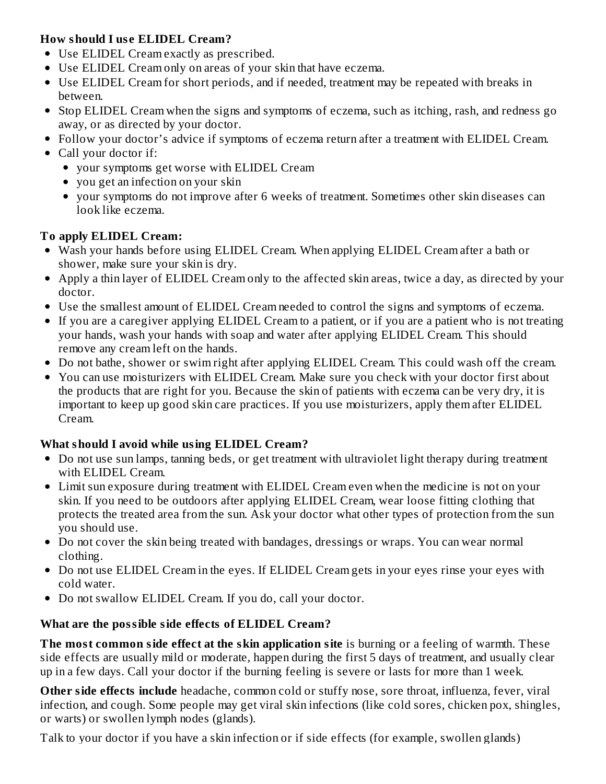### **How should I us e ELIDEL Cream?**

- Use ELIDEL Cream exactly as prescribed.
- Use ELIDEL Cream only on areas of your skin that have eczema.
- Use ELIDEL Cream for short periods, and if needed, treatment may be repeated with breaks in between.
- Stop ELIDEL Cream when the signs and symptoms of eczema, such as itching, rash, and redness go away, or as directed by your doctor.
- Follow your doctor's advice if symptoms of eczema return after a treatment with ELIDEL Cream.
- Call your doctor if:
	- your symptoms get worse with ELIDEL Cream
	- you get an infection on your skin
	- your symptoms do not improve after 6 weeks of treatment. Sometimes other skin diseases can look like eczema.

## **To apply ELIDEL Cream:**

- Wash your hands before using ELIDEL Cream. When applying ELIDEL Cream after a bath or shower, make sure your skin is dry.
- Apply a thin layer of ELIDEL Cream only to the affected skin areas, twice a day, as directed by your doctor.
- Use the smallest amount of ELIDEL Cream needed to control the signs and symptoms of eczema.
- If you are a caregiver applying ELIDEL Cream to a patient, or if you are a patient who is not treating your hands, wash your hands with soap and water after applying ELIDEL Cream. This should remove any cream left on the hands.
- Do not bathe, shower or swim right after applying ELIDEL Cream. This could wash off the cream.
- You can use moisturizers with ELIDEL Cream. Make sure you check with your doctor first about the products that are right for you. Because the skin of patients with eczema can be very dry, it is important to keep up good skin care practices. If you use moisturizers, apply them after ELIDEL Cream.

# **What should I avoid while using ELIDEL Cream?**

- Do not use sun lamps, tanning beds, or get treatment with ultraviolet light therapy during treatment with ELIDEL Cream.
- Limit sun exposure during treatment with ELIDEL Cream even when the medicine is not on your skin. If you need to be outdoors after applying ELIDEL Cream, wear loose fitting clothing that protects the treated area from the sun. Ask your doctor what other types of protection from the sun you should use.
- Do not cover the skin being treated with bandages, dressings or wraps. You can wear normal clothing.
- Do not use ELIDEL Cream in the eyes. If ELIDEL Cream gets in your eyes rinse your eyes with cold water.
- Do not swallow ELIDEL Cream. If you do, call your doctor.

# **What are the possible side effects of ELIDEL Cream?**

**The most common side effect at the skin application site** is burning or a feeling of warmth. These side effects are usually mild or moderate, happen during the first 5 days of treatment, and usually clear up in a few days. Call your doctor if the burning feeling is severe or lasts for more than 1 week.

**Other side effects include** headache, common cold or stuffy nose, sore throat, influenza, fever, viral infection, and cough. Some people may get viral skin infections (like cold sores, chicken pox, shingles, or warts) or swollen lymph nodes (glands).

Talk to your doctor if you have a skin infection or if side effects (for example, swollen glands)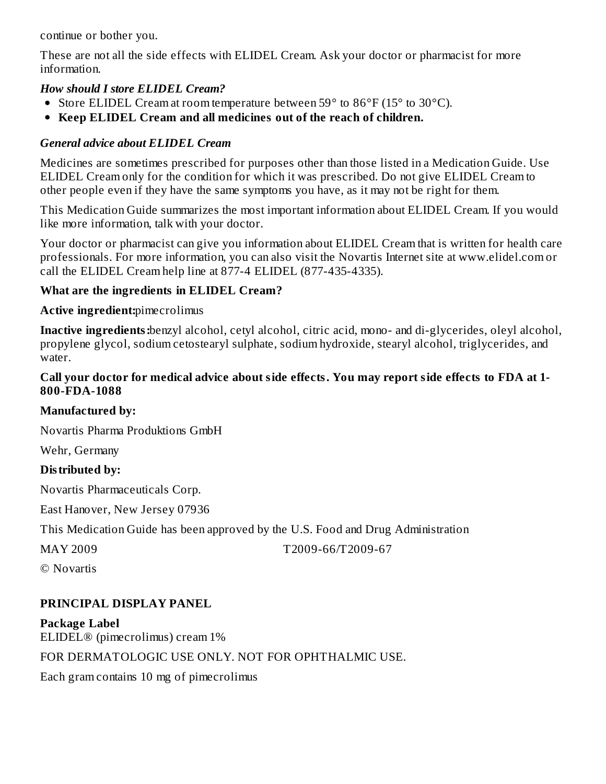continue or bother you.

These are not all the side effects with ELIDEL Cream. Ask your doctor or pharmacist for more information.

#### *How should I store ELIDEL Cream?*

- Store ELIDEL Cream at room temperature between 59° to 86°F (15° to 30°C).
- **Keep ELIDEL Cream and all medicines out of the reach of children.**

### *General advice about ELIDEL Cream*

Medicines are sometimes prescribed for purposes other than those listed in a Medication Guide. Use ELIDEL Cream only for the condition for which it was prescribed. Do not give ELIDEL Cream to other people even if they have the same symptoms you have, as it may not be right for them.

This Medication Guide summarizes the most important information about ELIDEL Cream. If you would like more information, talk with your doctor.

Your doctor or pharmacist can give you information about ELIDEL Cream that is written for health care professionals. For more information, you can also visit the Novartis Internet site at www.elidel.com or call the ELIDEL Cream help line at 877-4 ELIDEL (877-435-4335).

### **What are the ingredients in ELIDEL Cream?**

### **Active ingredient:**pimecrolimus

**Inactive ingredients:**benzyl alcohol, cetyl alcohol, citric acid, mono- and di-glycerides, oleyl alcohol, propylene glycol, sodium cetostearyl sulphate, sodium hydroxide, stearyl alcohol, triglycerides, and water.

#### **Call your doctor for medical advice about side effects. You may report side effects to FDA at 1- 800-FDA-1088**

### **Manufactured by:**

Novartis Pharma Produktions GmbH

Wehr, Germany

### **Distributed by:**

Novartis Pharmaceuticals Corp.

East Hanover, New Jersey 07936

This Medication Guide has been approved by the U.S. Food and Drug Administration

MAY 2009 T2009-66/T2009-67

© Novartis

# **PRINCIPAL DISPLAY PANEL**

**Package Label** ELIDEL® (pimecrolimus) cream 1% FOR DERMATOLOGIC USE ONLY. NOT FOR OPHTHALMIC USE. Each gram contains 10 mg of pimecrolimus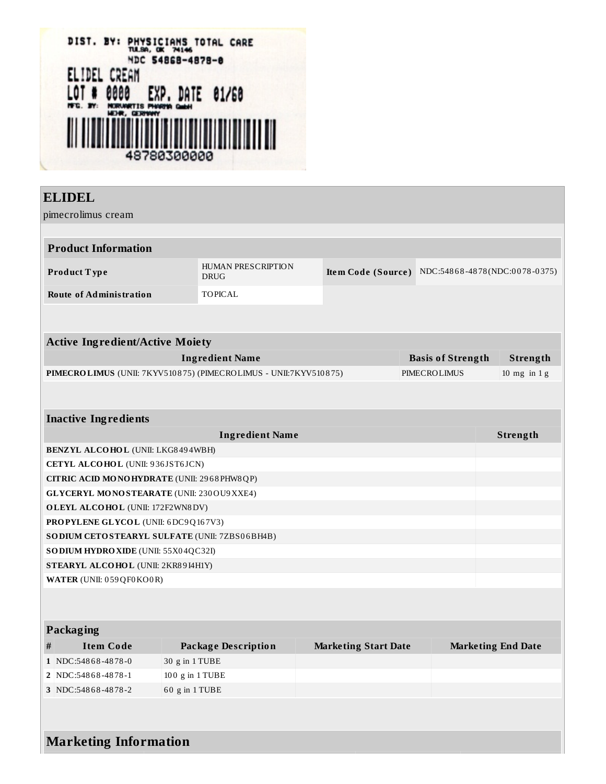

### **ELIDEL**

pimecrolimus cream

| <b>Product Information</b> |                            |  |                                                  |  |  |  |
|----------------------------|----------------------------|--|--------------------------------------------------|--|--|--|
| <b>Product Type</b>        | HUMAN PRESCRIPTION<br>DRUG |  | Item Code (Source) NDC:54868-4878(NDC:0078-0375) |  |  |  |
| Route of Administration    | TOPICAL                    |  |                                                  |  |  |  |

| <b>Active Ingredient/Active Moiety</b>                                  |                          |                        |  |  |  |
|-------------------------------------------------------------------------|--------------------------|------------------------|--|--|--|
| Ingredient Name                                                         | <b>Basis of Strength</b> | Strength               |  |  |  |
| <b>PIMECROLIMUS</b> (UNII: 7KYV510875) (PIMECROLIMUS - UNII:7KYV510875) | PIMECROLIMUS             | $10 \text{ mg}$ in 1 g |  |  |  |

#### **Inactive Ingredients**

| <b>Ingredient Name</b>                            | Strength |
|---------------------------------------------------|----------|
| <b>BENZYL ALCOHOL</b> (UNII: LKG8494WBH)          |          |
| <b>CETYL ALCOHOL</b> (UNII: 936JST6JCN)           |          |
| CITRIC ACID MONOHYDRATE (UNII: 2968PHW8QP)        |          |
| <b>GLYCERYL MONOSTEARATE (UNII: 230 OU9 XXE4)</b> |          |
| <b>OLEYL ALCOHOL</b> (UNII: 172F2WN8DV)           |          |
| <b>PROPYLENE GLYCOL (UNII: 6DC9Q167V3)</b>        |          |
| SO DIUM CETO STEARYL SULFATE (UNII: 7ZBS06BH4B)   |          |
| <b>SODIUM HYDRO XIDE (UNII: 55X04QC32I)</b>       |          |
| STEARYL ALCOHOL (UNII: 2KR89I4H1Y)                |          |
| <b>WATER (UNII: 059 QF0 KO0 R)</b>                |          |

### **Packaging**

| # | Item Code          | Package Description                                         | <b>Marketing Start Date</b> | <b>Marketing End Date</b> |
|---|--------------------|-------------------------------------------------------------|-----------------------------|---------------------------|
|   | 1 NDC:54868-4878-0 | $30 \text{ g}$ in 1 TUBE                                    |                             |                           |
|   | 2 NDC:54868-4878-1 | $100 \text{ g}$ in $1 \text{ T} \text{U} \text{B} \text{E}$ |                             |                           |
|   | 3 NDC:54868-4878-2 | $60$ g in 1 TUBE                                            |                             |                           |

**Marketing Information**